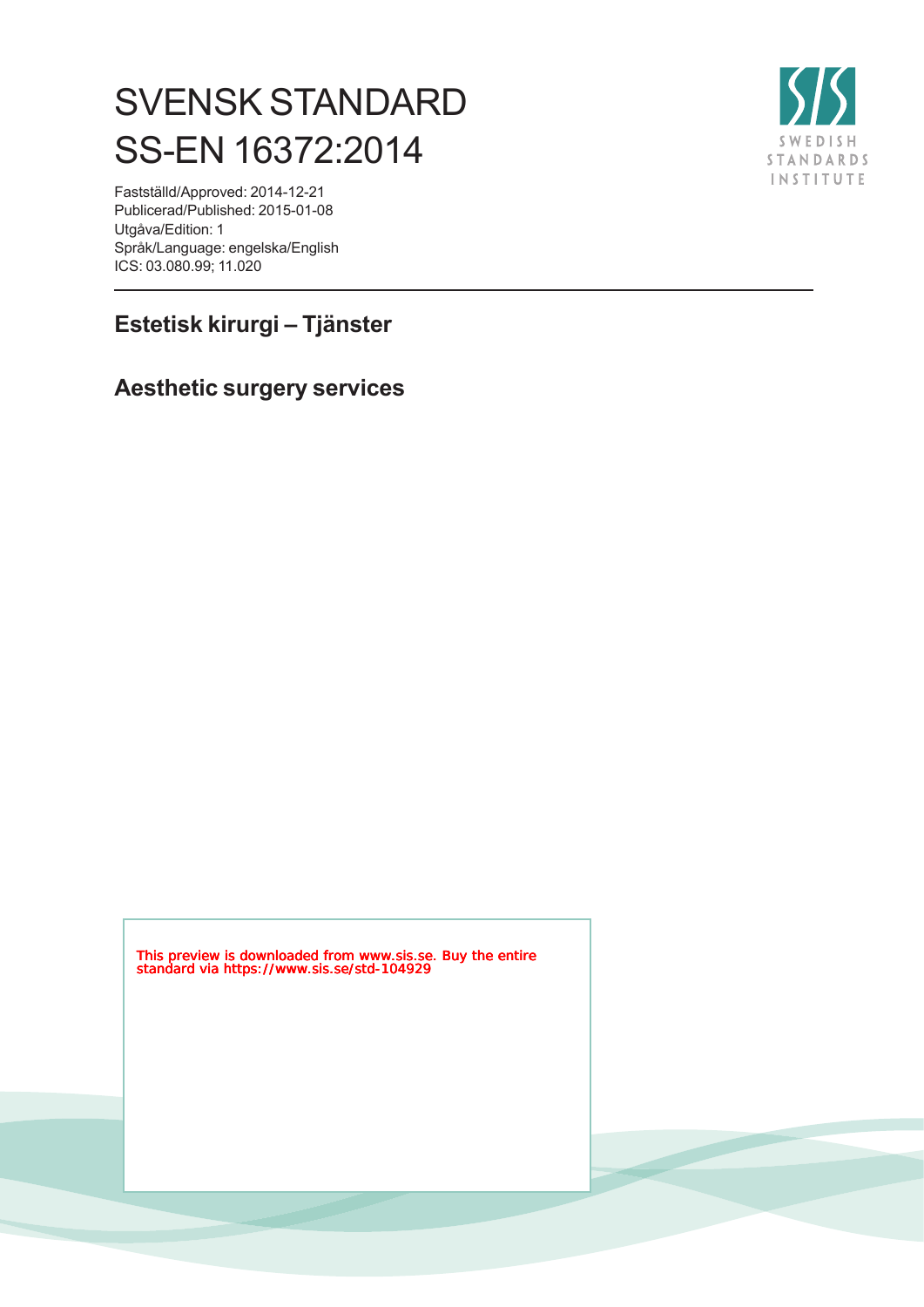# SVENSK STANDARD SS-EN 16372:2014

Fastställd/Approved: 2014-12-21 Publicerad/Published: 2015-01-08 Utgåva/Edition: 1 Språk/Language: engelska/English ICS: 03.080.99; 11.020

**Estetisk kirurgi – Tjänster**

**Aesthetic surgery services**

This preview is downloaded from www.sis.se. Buy the entire standard via https://www.sis.se/std-104929

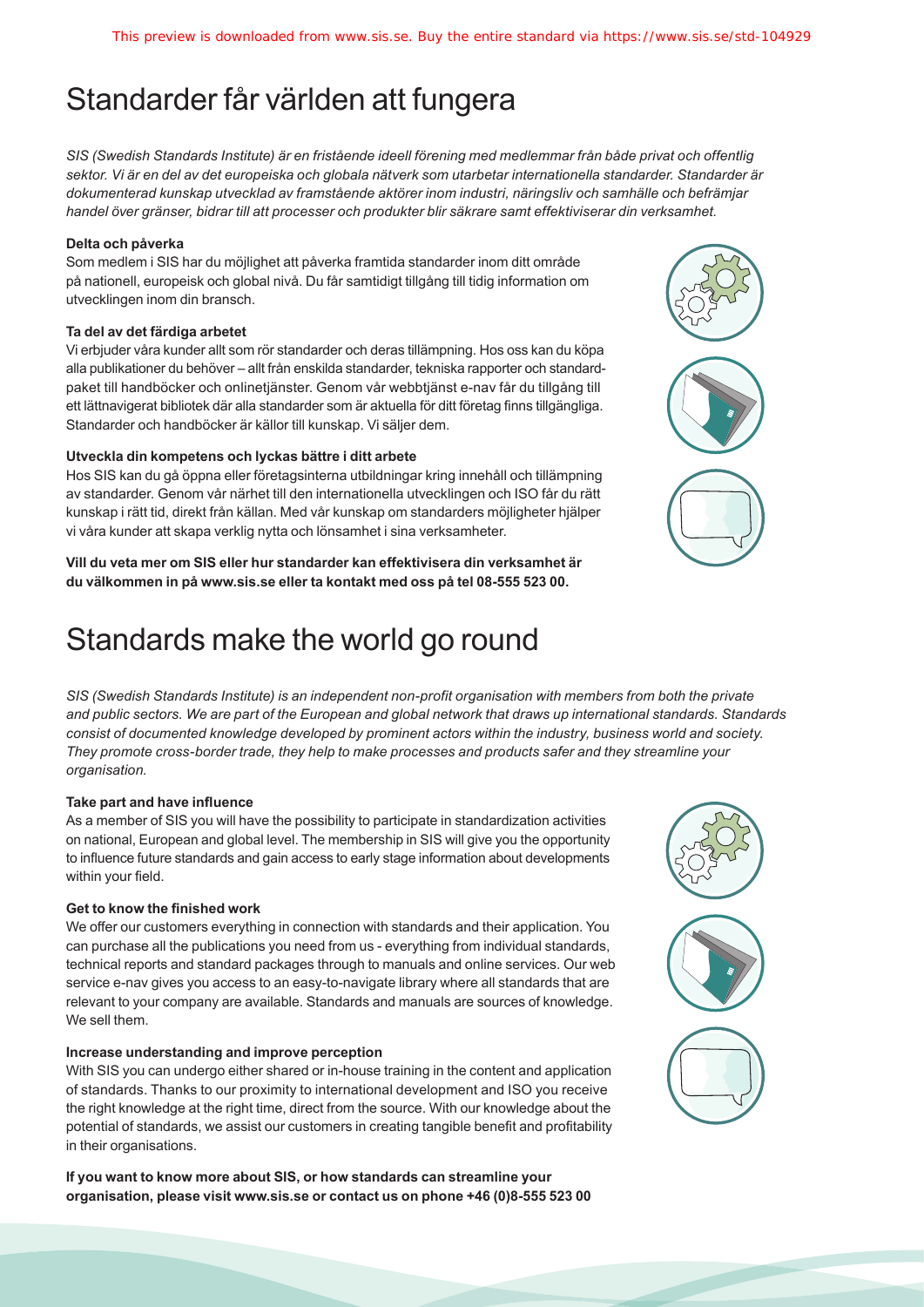# Standarder får världen att fungera

*SIS (Swedish Standards Institute) är en fristående ideell förening med medlemmar från både privat och offentlig sektor. Vi är en del av det europeiska och globala nätverk som utarbetar internationella standarder. Standarder är dokumenterad kunskap utvecklad av framstående aktörer inom industri, näringsliv och samhälle och befrämjar handel över gränser, bidrar till att processer och produkter blir säkrare samt effektiviserar din verksamhet.* 

#### **Delta och påverka**

Som medlem i SIS har du möjlighet att påverka framtida standarder inom ditt område på nationell, europeisk och global nivå. Du får samtidigt tillgång till tidig information om utvecklingen inom din bransch.

#### **Ta del av det färdiga arbetet**

Vi erbjuder våra kunder allt som rör standarder och deras tillämpning. Hos oss kan du köpa alla publikationer du behöver – allt från enskilda standarder, tekniska rapporter och standardpaket till handböcker och onlinetjänster. Genom vår webbtjänst e-nav får du tillgång till ett lättnavigerat bibliotek där alla standarder som är aktuella för ditt företag finns tillgängliga. Standarder och handböcker är källor till kunskap. Vi säljer dem.

#### **Utveckla din kompetens och lyckas bättre i ditt arbete**

Hos SIS kan du gå öppna eller företagsinterna utbildningar kring innehåll och tillämpning av standarder. Genom vår närhet till den internationella utvecklingen och ISO får du rätt kunskap i rätt tid, direkt från källan. Med vår kunskap om standarders möjligheter hjälper vi våra kunder att skapa verklig nytta och lönsamhet i sina verksamheter.

**Vill du veta mer om SIS eller hur standarder kan effektivisera din verksamhet är du välkommen in på www.sis.se eller ta kontakt med oss på tel 08-555 523 00.**

# Standards make the world go round

*SIS (Swedish Standards Institute) is an independent non-profit organisation with members from both the private and public sectors. We are part of the European and global network that draws up international standards. Standards consist of documented knowledge developed by prominent actors within the industry, business world and society. They promote cross-border trade, they help to make processes and products safer and they streamline your organisation.*

#### **Take part and have influence**

As a member of SIS you will have the possibility to participate in standardization activities on national, European and global level. The membership in SIS will give you the opportunity to influence future standards and gain access to early stage information about developments within your field.

#### **Get to know the finished work**

We offer our customers everything in connection with standards and their application. You can purchase all the publications you need from us - everything from individual standards, technical reports and standard packages through to manuals and online services. Our web service e-nav gives you access to an easy-to-navigate library where all standards that are relevant to your company are available. Standards and manuals are sources of knowledge. We sell them.

#### **Increase understanding and improve perception**

With SIS you can undergo either shared or in-house training in the content and application of standards. Thanks to our proximity to international development and ISO you receive the right knowledge at the right time, direct from the source. With our knowledge about the potential of standards, we assist our customers in creating tangible benefit and profitability in their organisations.

**If you want to know more about SIS, or how standards can streamline your organisation, please visit www.sis.se or contact us on phone +46 (0)8-555 523 00**



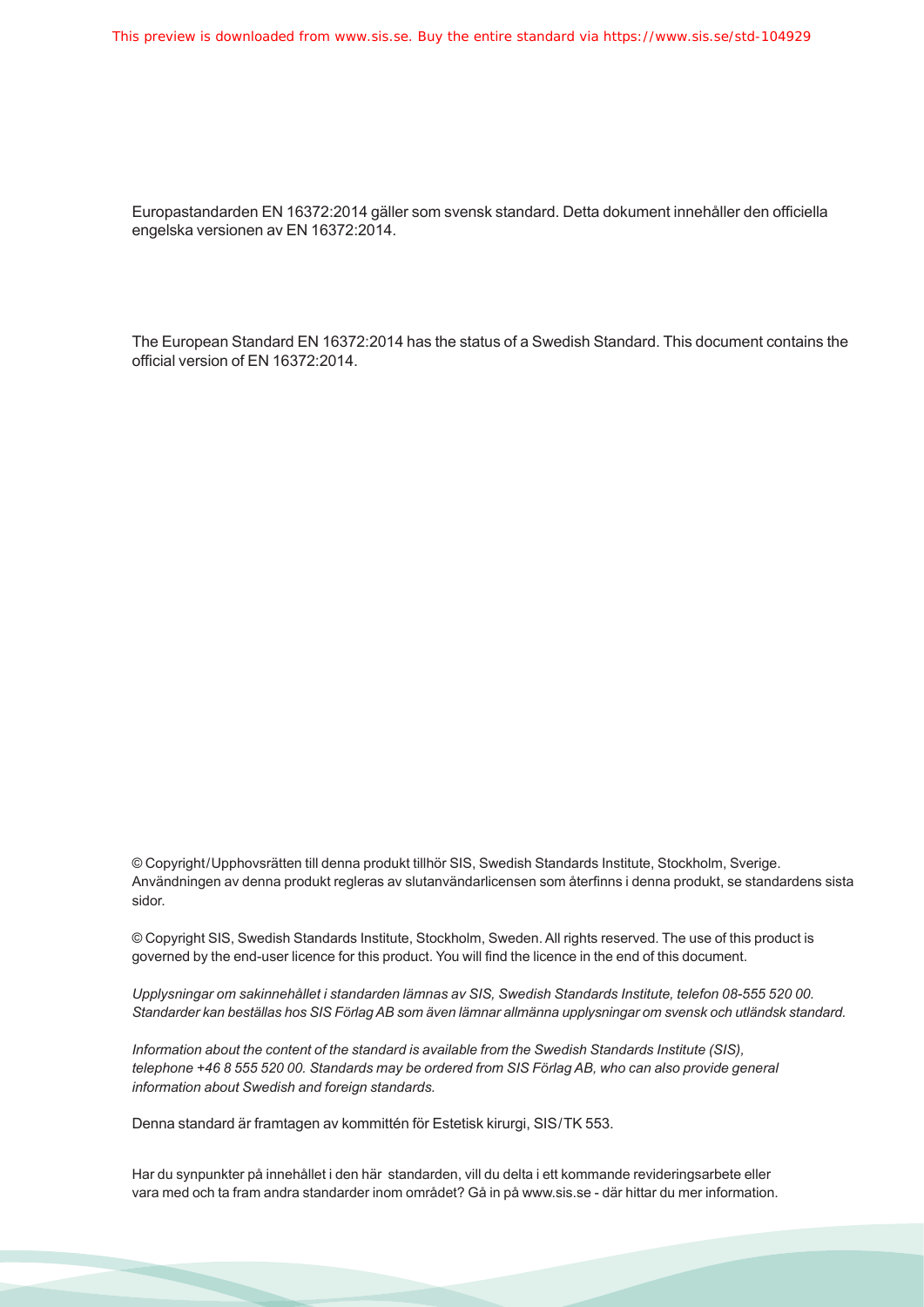Europastandarden EN 16372:2014 gäller som svensk standard. Detta dokument innehåller den officiella engelska versionen av EN 16372:2014.

The European Standard EN 16372:2014 has the status of a Swedish Standard. This document contains the official version of EN 16372:2014.

© Copyright / Upphovsrätten till denna produkt tillhör SIS, Swedish Standards Institute, Stockholm, Sverige. Användningen av denna produkt regleras av slutanvändarlicensen som återfinns i denna produkt, se standardens sista sidor.

© Copyright SIS, Swedish Standards Institute, Stockholm, Sweden. All rights reserved. The use of this product is governed by the end-user licence for this product. You will find the licence in the end of this document.

*Upplysningar om sakinnehållet i standarden lämnas av SIS, Swedish Standards Institute, telefon 08-555 520 00. Standarder kan beställas hos SIS Förlag AB som även lämnar allmänna upplysningar om svensk och utländsk standard.*

*Information about the content of the standard is available from the Swedish Standards Institute (SIS), telephone +46 8 555 520 00. Standards may be ordered from SIS Förlag AB, who can also provide general information about Swedish and foreign standards.*

Denna standard är framtagen av kommittén för Estetisk kirurgi, SIS / TK 553.

Har du synpunkter på innehållet i den här standarden, vill du delta i ett kommande revideringsarbete eller vara med och ta fram andra standarder inom området? Gå in på www.sis.se - där hittar du mer information.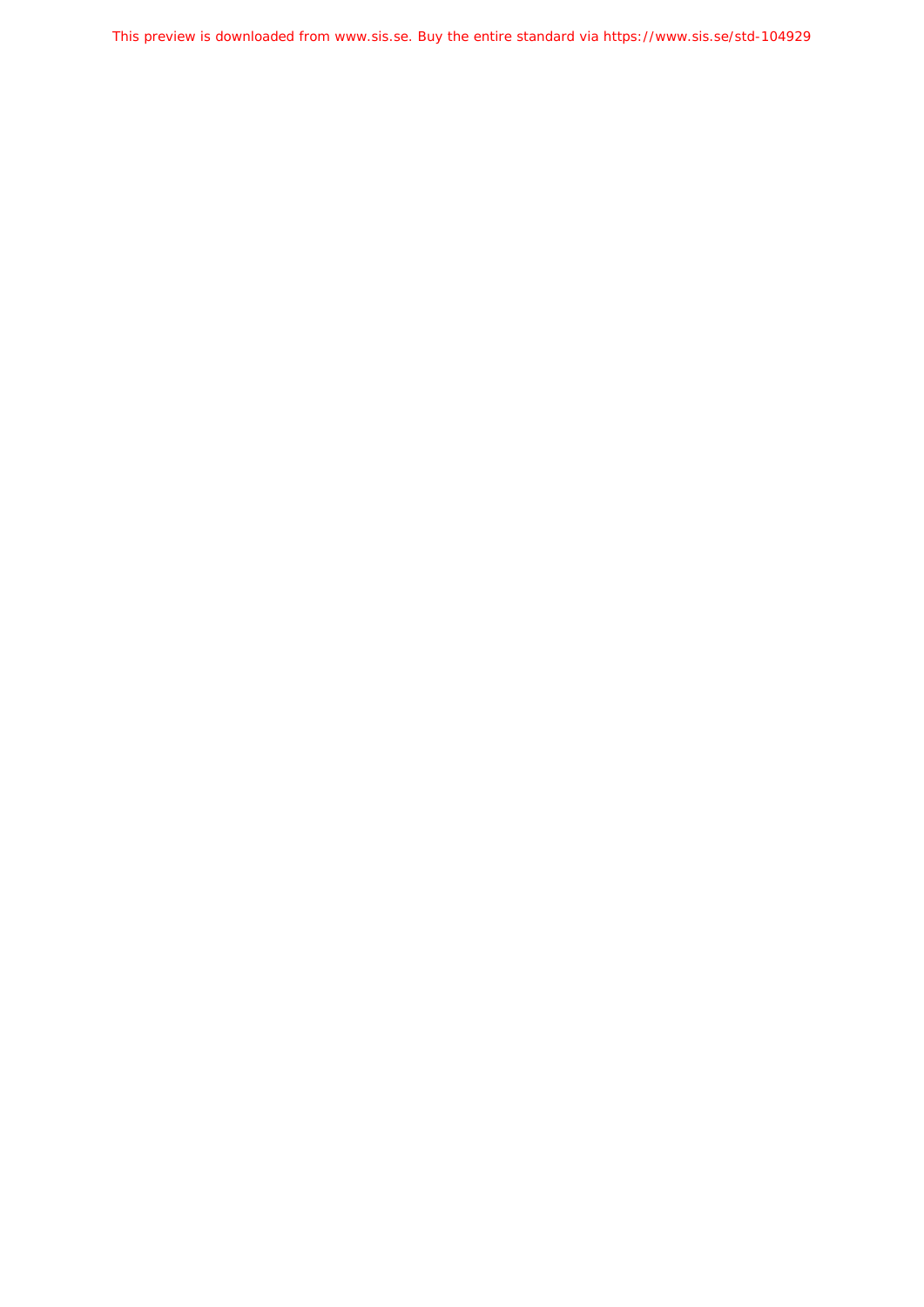This preview is downloaded from www.sis.se. Buy the entire standard via https://www.sis.se/std-104929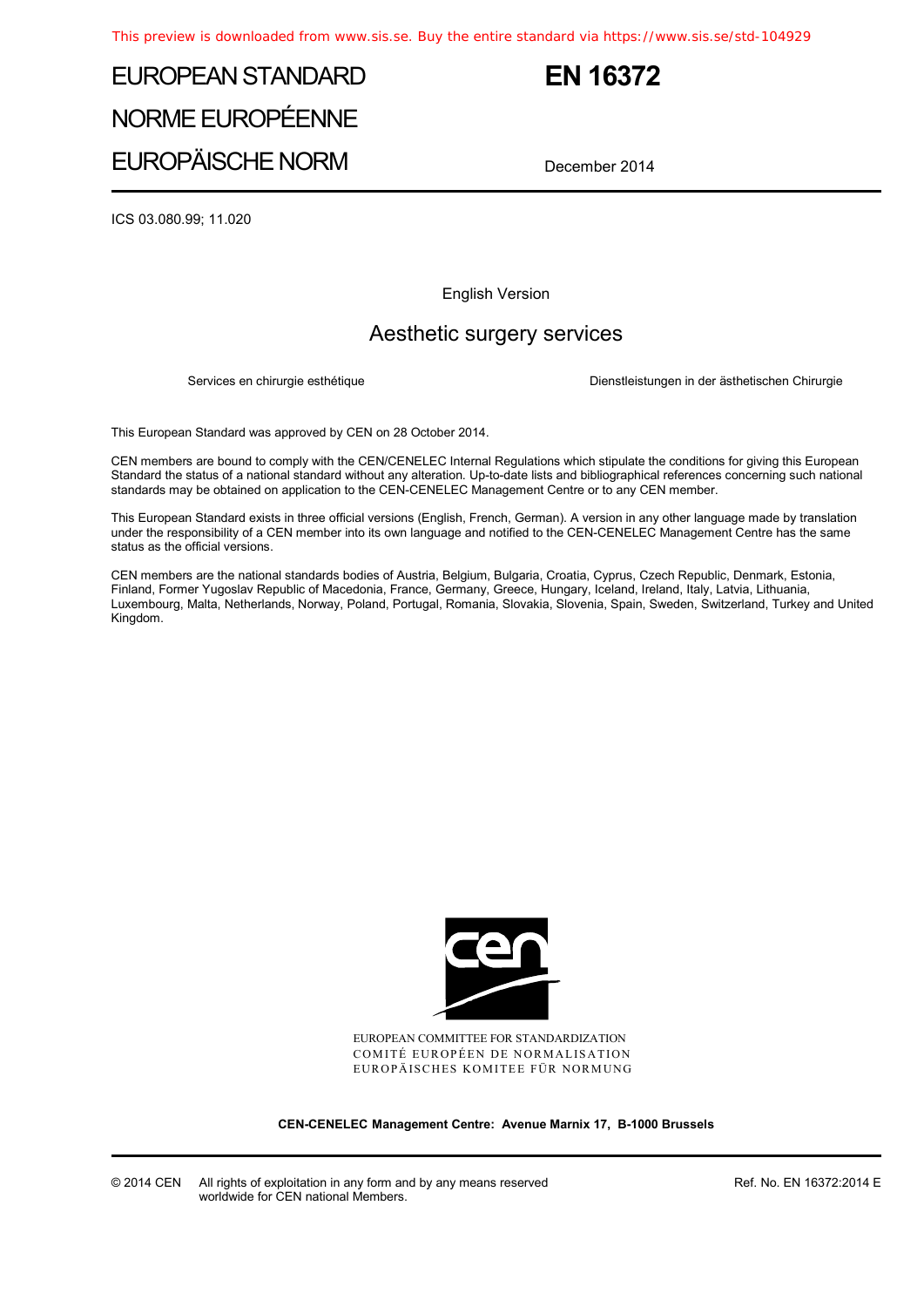# EUROPEAN STANDARD NORME EUROPÉENNE

# **EN 16372**

EUROPÄISCHE NORM

December 2014

ICS 03.080.99; 11.020

English Version

### Aesthetic surgery services

Services en chirurgie esthétique Dienstleistungen in der ästhetischen Chirurgie

This European Standard was approved by CEN on 28 October 2014.

CEN members are bound to comply with the CEN/CENELEC Internal Regulations which stipulate the conditions for giving this European Standard the status of a national standard without any alteration. Up-to-date lists and bibliographical references concerning such national standards may be obtained on application to the CEN-CENELEC Management Centre or to any CEN member.

This European Standard exists in three official versions (English, French, German). A version in any other language made by translation under the responsibility of a CEN member into its own language and notified to the CEN-CENELEC Management Centre has the same status as the official versions.

CEN members are the national standards bodies of Austria, Belgium, Bulgaria, Croatia, Cyprus, Czech Republic, Denmark, Estonia, Finland, Former Yugoslav Republic of Macedonia, France, Germany, Greece, Hungary, Iceland, Ireland, Italy, Latvia, Lithuania, Luxembourg, Malta, Netherlands, Norway, Poland, Portugal, Romania, Slovakia, Slovenia, Spain, Sweden, Switzerland, Turkey and United Kingdom.



EUROPEAN COMMITTEE FOR STANDARDIZATION COMITÉ EUROPÉEN DE NORMALISATION EUROPÄISCHES KOMITEE FÜR NORMUNG

**CEN-CENELEC Management Centre: Avenue Marnix 17, B-1000 Brussels** 

Ref. No. EN 16372:2014 E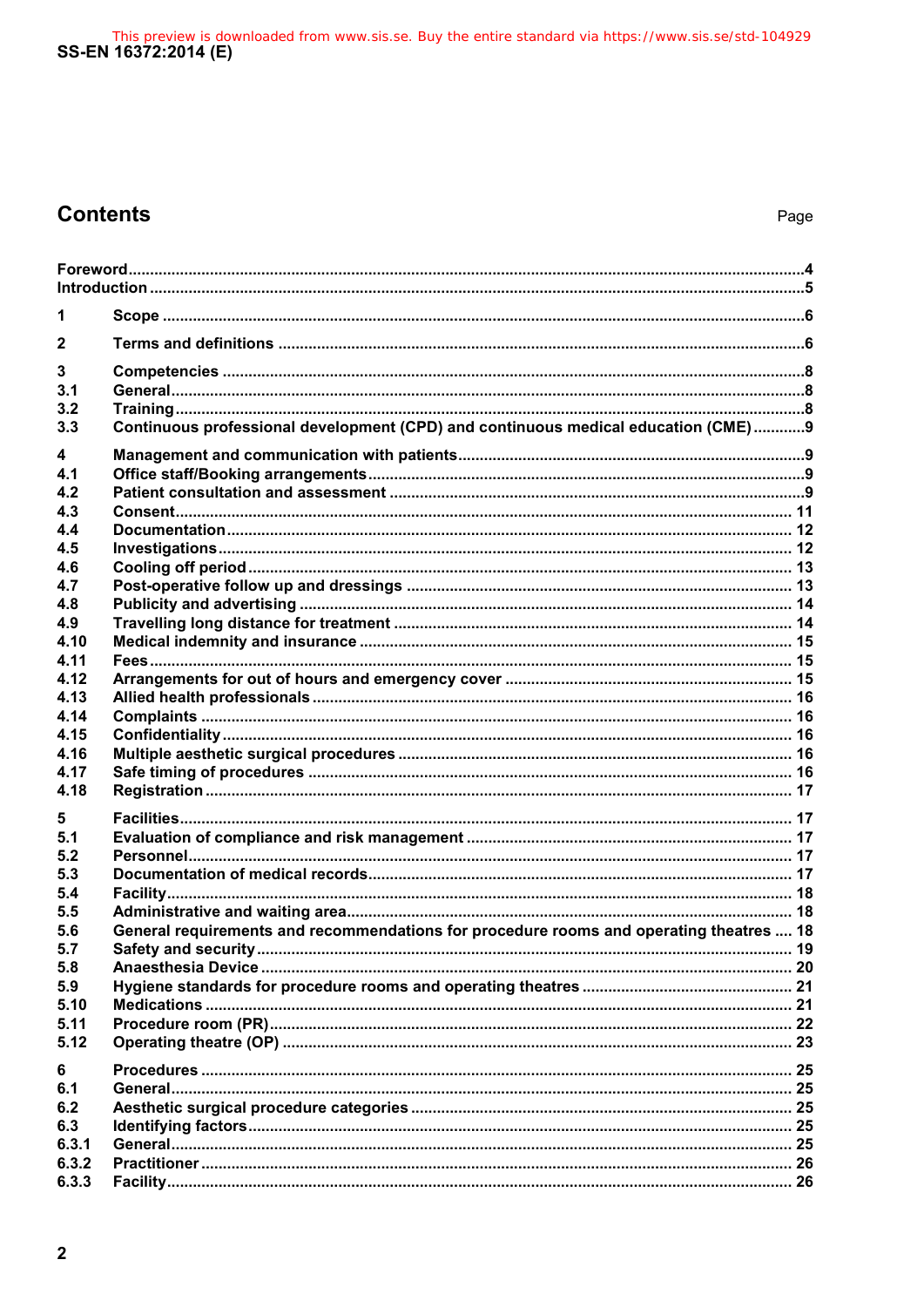This preview is downloaded from www.sis.se. Buy the entire standard via https://www.sis.se/std-104929<br>SS-EN 16372:2014 (E)

## **Contents**

| 1            |                                                                                         |  |
|--------------|-----------------------------------------------------------------------------------------|--|
| $\mathbf{2}$ |                                                                                         |  |
| 3            |                                                                                         |  |
| 3.1          |                                                                                         |  |
| 3.2<br>3.3   | Continuous professional development (CPD) and continuous medical education (CME)9       |  |
|              |                                                                                         |  |
| 4            |                                                                                         |  |
| 4.1<br>4.2   |                                                                                         |  |
| 4.3          |                                                                                         |  |
| 4.4          |                                                                                         |  |
| 4.5          |                                                                                         |  |
| 4.6          |                                                                                         |  |
| 4.7          |                                                                                         |  |
| 4.8          |                                                                                         |  |
| 4.9          |                                                                                         |  |
| 4.10         |                                                                                         |  |
| 4.11<br>4.12 |                                                                                         |  |
| 4.13         |                                                                                         |  |
| 4.14         |                                                                                         |  |
| 4.15         |                                                                                         |  |
| 4.16         |                                                                                         |  |
| 4.17         |                                                                                         |  |
| 4.18         |                                                                                         |  |
| 5            |                                                                                         |  |
| 5.1          |                                                                                         |  |
| 5.2          |                                                                                         |  |
| 5.3          |                                                                                         |  |
| 5.4          |                                                                                         |  |
| 5.5          |                                                                                         |  |
| 5.6<br>5.7   | General requirements and recommendations for procedure rooms and operating theatres  18 |  |
| 5.8          |                                                                                         |  |
| 5.9          |                                                                                         |  |
| 5.10         |                                                                                         |  |
| 5.11         |                                                                                         |  |
| 5.12         |                                                                                         |  |
| 6            |                                                                                         |  |
| 6.1          |                                                                                         |  |
| 6.2          |                                                                                         |  |
| 6.3          |                                                                                         |  |
| 6.3.1        |                                                                                         |  |
| 6.3.2        |                                                                                         |  |
| 6.3.3        |                                                                                         |  |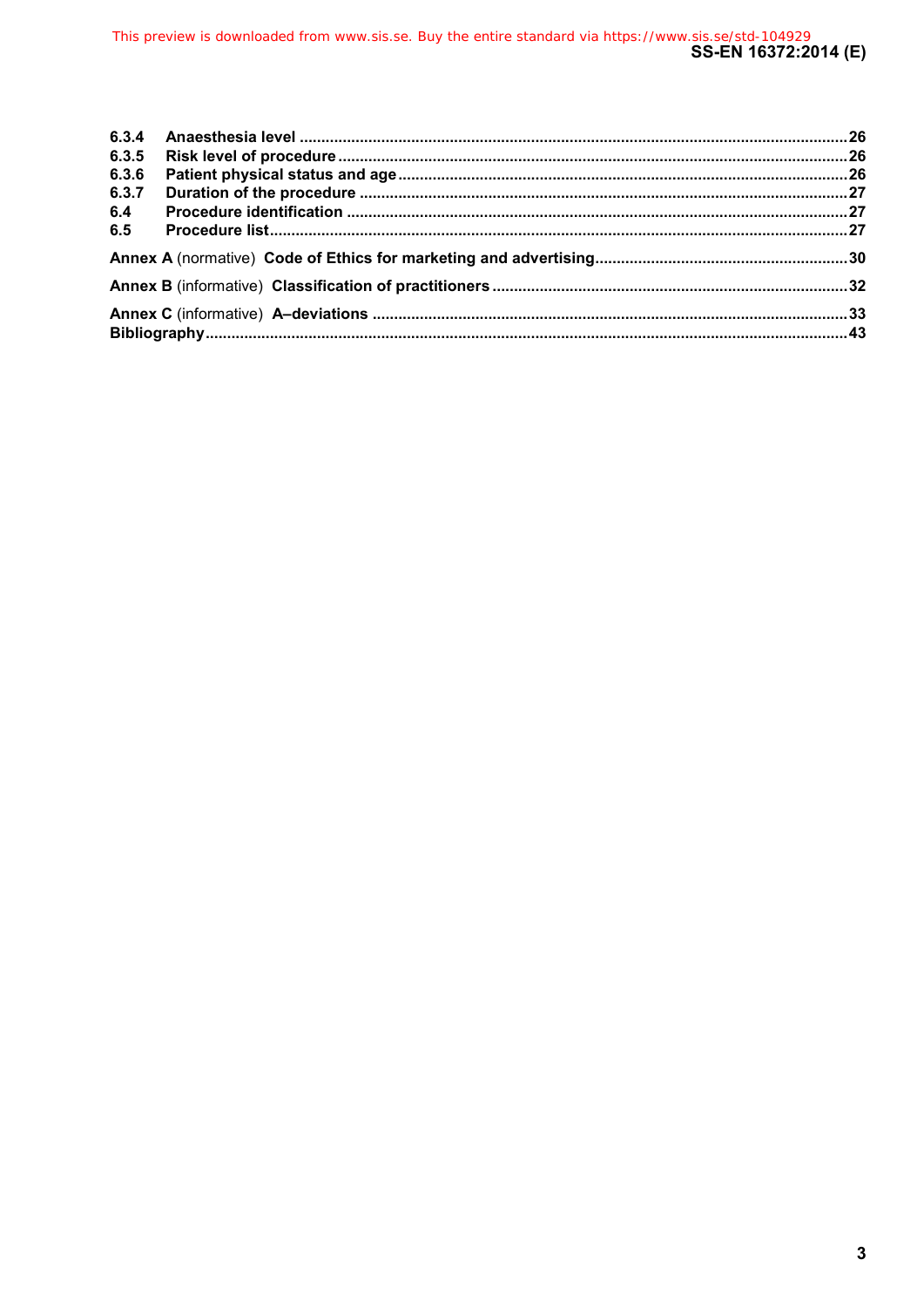| 6.3.6 |  |
|-------|--|
| 6.3.7 |  |
| 6.4   |  |
| 6.5   |  |
|       |  |
|       |  |
|       |  |
|       |  |
|       |  |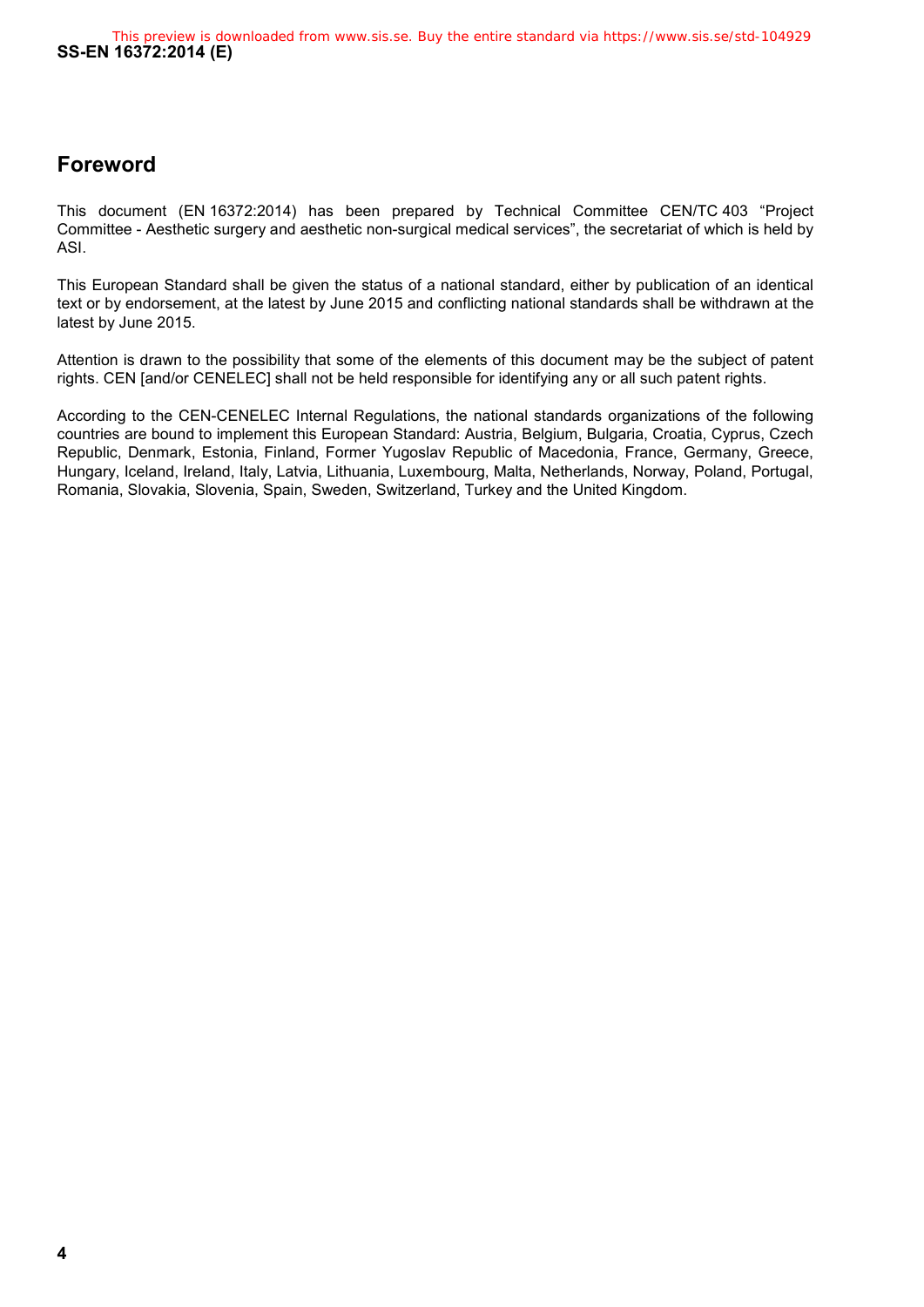### **Foreword**

This document (EN 16372:2014) has been prepared by Technical Committee CEN/TC 403 "Project Committee - Aesthetic surgery and aesthetic non-surgical medical services", the secretariat of which is held by ASI.

This European Standard shall be given the status of a national standard, either by publication of an identical text or by endorsement, at the latest by June 2015 and conflicting national standards shall be withdrawn at the latest by June 2015.

Attention is drawn to the possibility that some of the elements of this document may be the subject of patent rights. CEN [and/or CENELEC] shall not be held responsible for identifying any or all such patent rights.

According to the CEN-CENELEC Internal Regulations, the national standards organizations of the following countries are bound to implement this European Standard: Austria, Belgium, Bulgaria, Croatia, Cyprus, Czech Republic, Denmark, Estonia, Finland, Former Yugoslav Republic of Macedonia, France, Germany, Greece, Hungary, Iceland, Ireland, Italy, Latvia, Lithuania, Luxembourg, Malta, Netherlands, Norway, Poland, Portugal, Romania, Slovakia, Slovenia, Spain, Sweden, Switzerland, Turkey and the United Kingdom.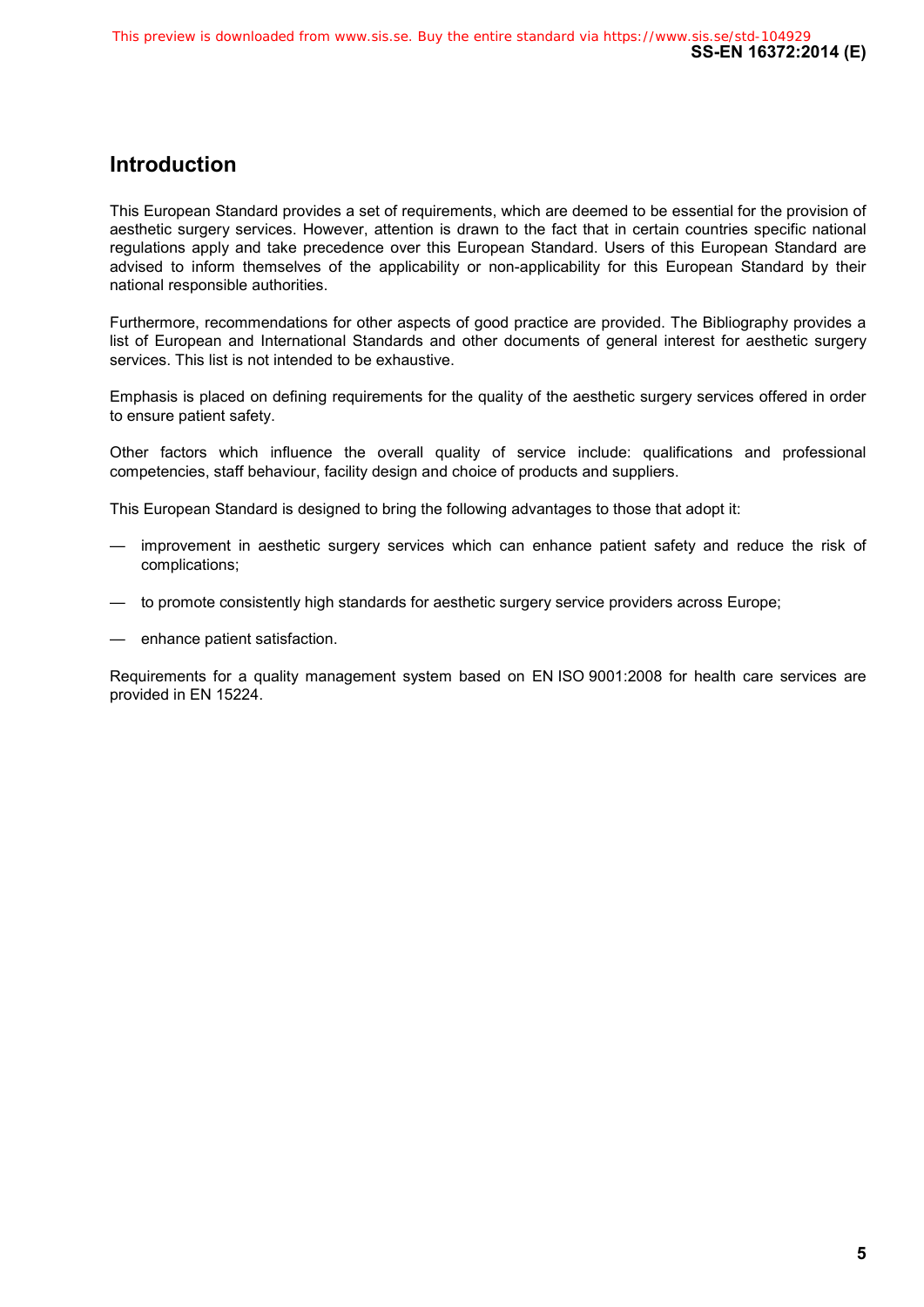## **Introduction**

This European Standard provides a set of requirements, which are deemed to be essential for the provision of aesthetic surgery services. However, attention is drawn to the fact that in certain countries specific national regulations apply and take precedence over this European Standard. Users of this European Standard are advised to inform themselves of the applicability or non-applicability for this European Standard by their national responsible authorities.

Furthermore, recommendations for other aspects of good practice are provided. The Bibliography provides a list of European and International Standards and other documents of general interest for aesthetic surgery services. This list is not intended to be exhaustive.

Emphasis is placed on defining requirements for the quality of the aesthetic surgery services offered in order to ensure patient safety.

Other factors which influence the overall quality of service include: qualifications and professional competencies, staff behaviour, facility design and choice of products and suppliers.

This European Standard is designed to bring the following advantages to those that adopt it:

- improvement in aesthetic surgery services which can enhance patient safety and reduce the risk of complications;
- to promote consistently high standards for aesthetic surgery service providers across Europe;
- enhance patient satisfaction.

Requirements for a quality management system based on EN ISO 9001:2008 for health care services are provided in EN 15224.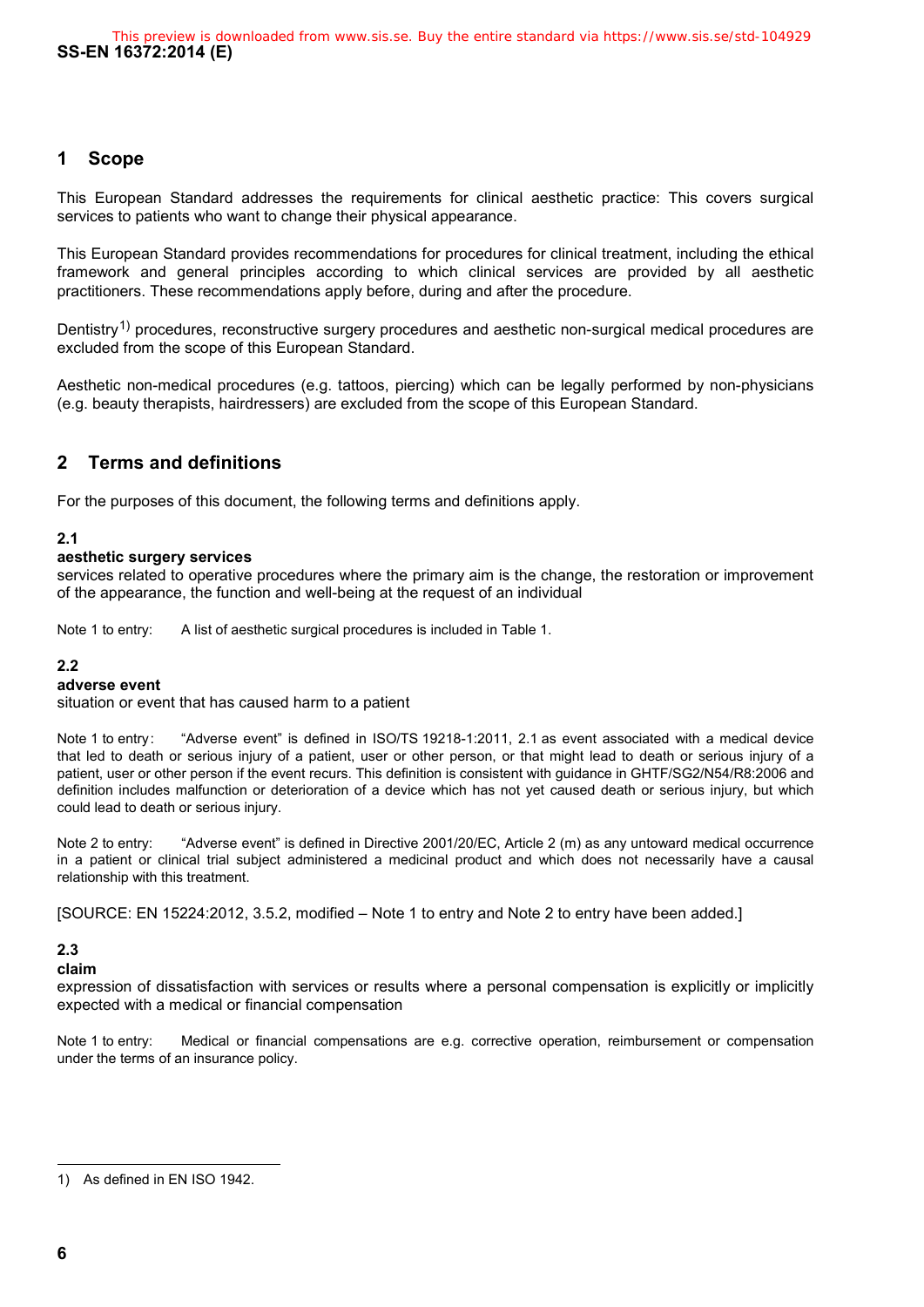#### **1 Scope**

This European Standard addresses the requirements for clinical aesthetic practice: This covers surgical services to patients who want to change their physical appearance.

This European Standard provides recommendations for procedures for clinical treatment, including the ethical framework and general principles according to which clinical services are provided by all aesthetic practitioners. These recommendations apply before, during and after the procedure.

Dentistry<sup>[1](#page-9-0))</sup> procedures, reconstructive surgery procedures and aesthetic non-surgical medical procedures are excluded from the scope of this European Standard.

Aesthetic non-medical procedures (e.g. tattoos, piercing) which can be legally performed by non-physicians (e.g. beauty therapists, hairdressers) are excluded from the scope of this European Standard.

### **2 Terms and definitions**

For the purposes of this document, the following terms and definitions apply.

#### **2.1**

#### **aesthetic surgery services**

services related to operative procedures where the primary aim is the change, the restoration or improvement of the appearance, the function and well-being at the request of an individual

Note 1 to entry: A list of aesthetic surgical procedures is included in Table 1.

#### **2.2**

#### **adverse event**

situation or event that has caused harm to a patient

Note 1 to entry: "Adverse event" is defined in ISO/TS 19218-1:2011, 2.1 as event associated with a medical device that led to death or serious injury of a patient, user or other person, or that might lead to death or serious injury of a patient, user or other person if the event recurs. This definition is consistent with guidance in GHTF/SG2/N54/R8:2006 and definition includes malfunction or deterioration of a device which has not yet caused death or serious injury, but which could lead to death or serious injury.

Note 2 to entry: "Adverse event" is defined in Directive 2001/20/EC, Article 2 (m) as any untoward medical occurrence in a patient or clinical trial subject administered a medicinal product and which does not necessarily have a causal relationship with this treatment.

[SOURCE: EN 15224:2012, 3.5.2, modified – Note 1 to entry and Note 2 to entry have been added.]

#### **2.3**

#### **claim**

expression of dissatisfaction with services or results where a personal compensation is explicitly or implicitly expected with a medical or financial compensation

Note 1 to entry: Medical or financial compensations are e.g. corrective operation, reimbursement or compensation under the terms of an insurance policy.

-

<span id="page-9-0"></span><sup>1)</sup> As defined in EN ISO 1942.